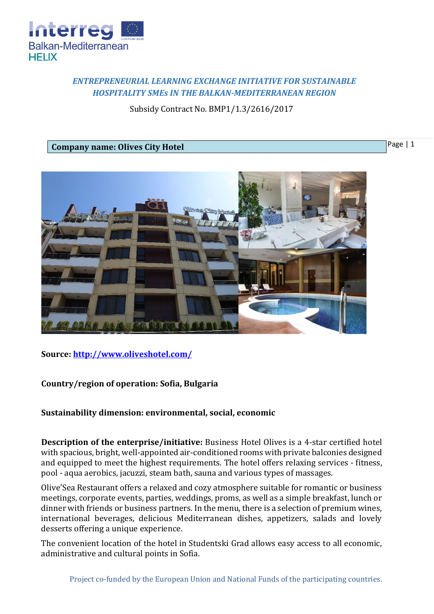

# *ENTREPRENEURIAL LEARNING EXCHANGE INITIATIVE FOR SUSTAINABLE HOSPITALITY SMEs IN THE BALKAN-MEDITERRANEAN REGION*

Subsidy Contract No. BMP1/1.3/2616/2017

## **Company name: Olives City Hotel**

Page | 1



**Source:<http://www.oliveshotel.com/>**

## **Country/region of operation: Sofia, Bulgaria**

## **Sustainability dimension: environmental, social, economic**

**Description of the enterprise/initiative:** Business Hotel Olives is a 4-star certified hotel with spacious, bright, well-appointed air-conditioned rooms with private balconies designed and equipped to meet the highest requirements. The hotel offers relaxing services - fitness, pool - aqua aerobics, jacuzzi, steam bath, sauna and various types of massages.

Olive'Sea Restaurant offers a relaxed and cozy atmosphere suitable for romantic or business meetings, corporate events, parties, weddings, proms, as well as a simple breakfast, lunch or dinner with friends or business partners. In the menu, there is a selection of premium wines, international beverages, delicious Mediterranean dishes, appetizers, salads and lovely desserts offering a unique experience.

The convenient location of the hotel in Studentski Grad allows easy access to all economic, administrative and cultural points in Sofia.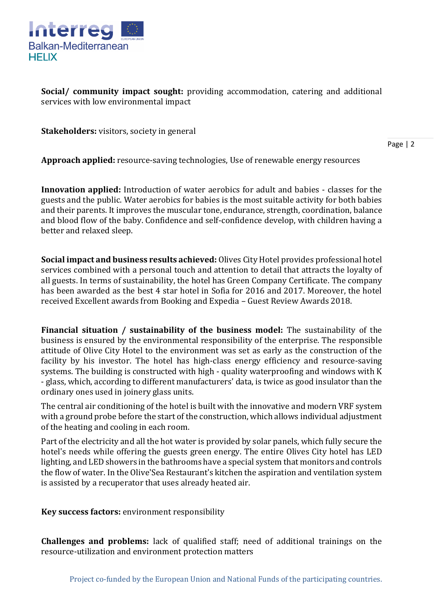

**Social/ community impact sought:** providing accommodation, catering and additional services with low environmental impact

**Stakeholders:** visitors, society in general

Page | 2

**Approach applied:** resource-saving technologies, Use of renewable energy resources

**Innovation applied:** Introduction of water aerobics for adult and babies - classes for the guests and the public. Water aerobics for babies is the most suitable activity for both babies and their parents. It improves the muscular tone, endurance, strength, coordination, balance and blood flow of the baby. Confidence and self-confidence develop, with children having a better and relaxed sleep.

**Social impact and business results achieved:** Olives City Hotel provides professional hotel services combined with a personal touch and attention to detail that attracts the loyalty of all guests. In terms of sustainability, the hotel has Green Company Certificate. The company has been awarded as the best 4 star hotel in Sofia for 2016 and 2017. Moreover, the hotel received Excellent awards from Booking and Expedia – Guest Review Awards 2018.

**Financial situation / sustainability of the business model:** The sustainability of the business is ensured by the environmental responsibility of the enterprise. The responsible attitude of Olive City Hotel to the environment was set as early as the construction of the facility by his investor. The hotel has high-class energy efficiency and resource-saving systems. The building is constructed with high - quality waterproofing and windows with K - glass, which, according to different manufacturers' data, is twice as good insulator than the ordinary ones used in joinery glass units.

The central air conditioning of the hotel is built with the innovative and modern VRF system with a ground probe before the start of the construction, which allows individual adjustment of the heating and cooling in each room.

Part of the electricity and all the hot water is provided by solar panels, which fully secure the hotel's needs while offering the guests green energy. The entire Olives City hotel has LED lighting, and LED showers in the bathrooms have a special system that monitors and controls the flow of water. In the Olive'Sea Restaurant's kitchen the aspiration and ventilation system is assisted by a recuperator that uses already heated air.

**Key success factors:** environment responsibility

**Challenges and problems:** lack of qualified staff; need of additional trainings on the resource-utilization and environment protection matters